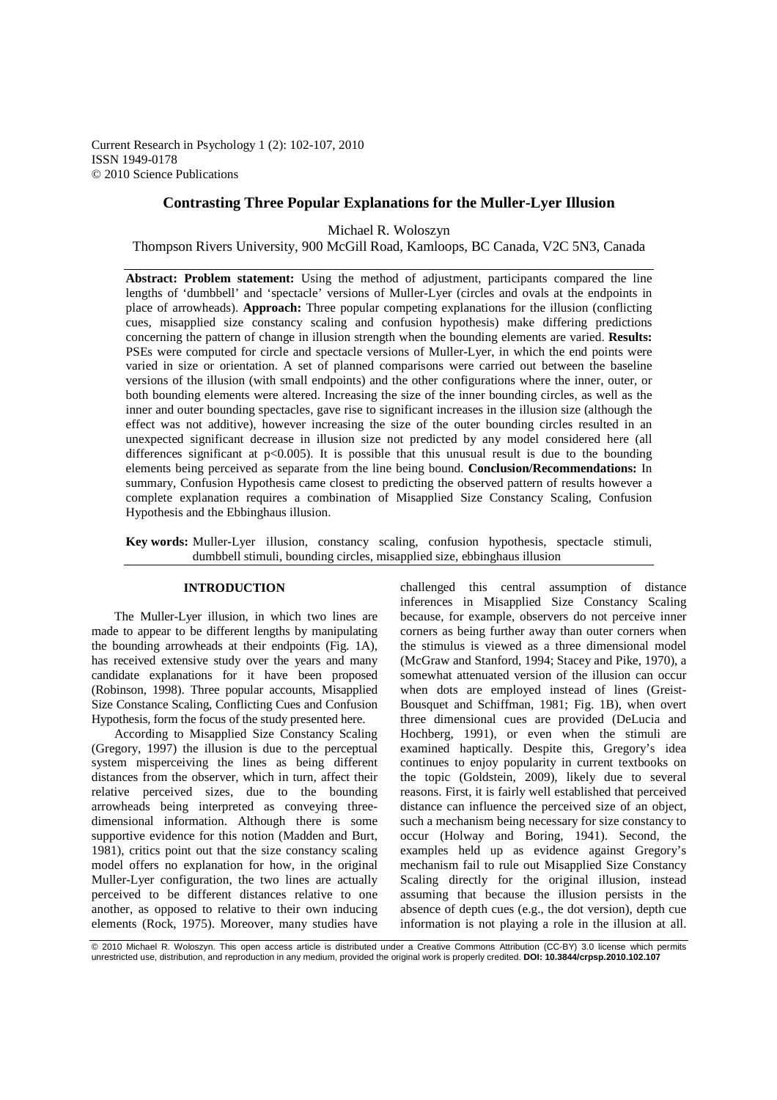Current Research in Psychology 1 (2): 102-107, 2010 ISSN 1949-0178 © 2010 Science Publications

# **Contrasting Three Popular Explanations for the Muller-Lyer Illusion**

Michael R. Woloszyn

Thompson Rivers University, 900 McGill Road, Kamloops, BC Canada, V2C 5N3, Canada

Abstract: Problem statement: Using the method of adjustment, participants compared the line lengths of 'dumbbell' and 'spectacle' versions of Muller-Lyer (circles and ovals at the endpoints in place of arrowheads). **Approach:** Three popular competing explanations for the illusion (conflicting cues, misapplied size constancy scaling and confusion hypothesis) make differing predictions concerning the pattern of change in illusion strength when the bounding elements are varied. **Results:** PSEs were computed for circle and spectacle versions of Muller-Lyer, in which the end points were varied in size or orientation. A set of planned comparisons were carried out between the baseline versions of the illusion (with small endpoints) and the other configurations where the inner, outer, or both bounding elements were altered. Increasing the size of the inner bounding circles, as well as the inner and outer bounding spectacles, gave rise to significant increases in the illusion size (although the effect was not additive), however increasing the size of the outer bounding circles resulted in an unexpected significant decrease in illusion size not predicted by any model considered here (all differences significant at  $p<0.005$ . It is possible that this unusual result is due to the bounding elements being perceived as separate from the line being bound. **Conclusion/Recommendations:** In summary, Confusion Hypothesis came closest to predicting the observed pattern of results however a complete explanation requires a combination of Misapplied Size Constancy Scaling, Confusion Hypothesis and the Ebbinghaus illusion.

**Key words:** Muller-Lyer illusion, constancy scaling, confusion hypothesis, spectacle stimuli, dumbbell stimuli, bounding circles, misapplied size, ebbinghaus illusion

# **INTRODUCTION**

 The Muller-Lyer illusion, in which two lines are made to appear to be different lengths by manipulating the bounding arrowheads at their endpoints (Fig. 1A), has received extensive study over the years and many candidate explanations for it have been proposed (Robinson, 1998). Three popular accounts, Misapplied Size Constance Scaling, Conflicting Cues and Confusion Hypothesis, form the focus of the study presented here.

 According to Misapplied Size Constancy Scaling (Gregory, 1997) the illusion is due to the perceptual system misperceiving the lines as being different distances from the observer, which in turn, affect their relative perceived sizes, due to the bounding arrowheads being interpreted as conveying threedimensional information. Although there is some supportive evidence for this notion (Madden and Burt, 1981), critics point out that the size constancy scaling model offers no explanation for how, in the original Muller-Lyer configuration, the two lines are actually perceived to be different distances relative to one another, as opposed to relative to their own inducing elements (Rock, 1975). Moreover, many studies have challenged this central assumption of distance inferences in Misapplied Size Constancy Scaling because, for example, observers do not perceive inner corners as being further away than outer corners when the stimulus is viewed as a three dimensional model (McGraw and Stanford, 1994; Stacey and Pike, 1970), a somewhat attenuated version of the illusion can occur when dots are employed instead of lines (Greist-Bousquet and Schiffman, 1981; Fig. 1B), when overt three dimensional cues are provided (DeLucia and Hochberg, 1991), or even when the stimuli are examined haptically. Despite this, Gregory's idea continues to enjoy popularity in current textbooks on the topic (Goldstein, 2009), likely due to several reasons. First, it is fairly well established that perceived distance can influence the perceived size of an object, such a mechanism being necessary for size constancy to occur (Holway and Boring, 1941). Second, the examples held up as evidence against Gregory's mechanism fail to rule out Misapplied Size Constancy Scaling directly for the original illusion, instead assuming that because the illusion persists in the absence of depth cues (e.g., the dot version), depth cue information is not playing a role in the illusion at all.

© 2010 Michael R. Woloszyn. This open access article is distributed under a Creative Commons Attribution (CC-BY) 3.0 license which permits<br>unrestricted use, distribution, and reproduction in any medium, provided the origin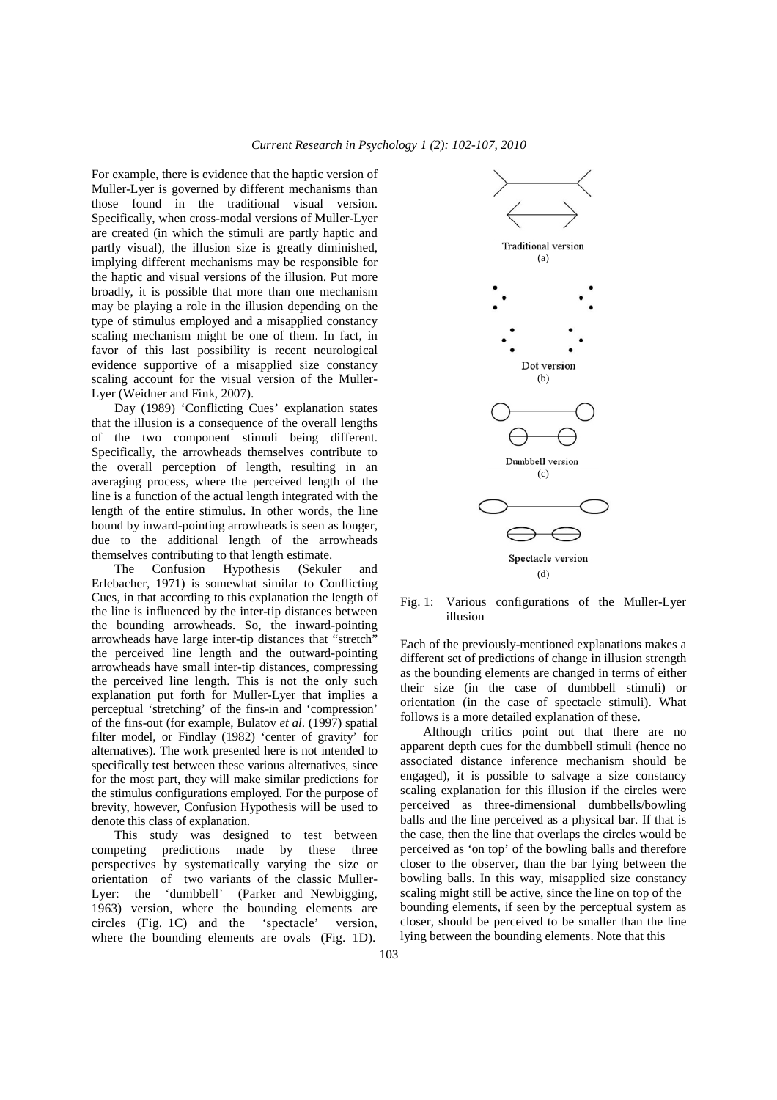For example, there is evidence that the haptic version of Muller-Lyer is governed by different mechanisms than those found in the traditional visual version. Specifically, when cross-modal versions of Muller-Lyer are created (in which the stimuli are partly haptic and partly visual), the illusion size is greatly diminished, implying different mechanisms may be responsible for the haptic and visual versions of the illusion. Put more broadly, it is possible that more than one mechanism may be playing a role in the illusion depending on the type of stimulus employed and a misapplied constancy scaling mechanism might be one of them. In fact, in favor of this last possibility is recent neurological evidence supportive of a misapplied size constancy scaling account for the visual version of the Muller-Lyer (Weidner and Fink, 2007).

 Day (1989) 'Conflicting Cues' explanation states that the illusion is a consequence of the overall lengths of the two component stimuli being different. Specifically, the arrowheads themselves contribute to the overall perception of length, resulting in an averaging process, where the perceived length of the line is a function of the actual length integrated with the length of the entire stimulus. In other words, the line bound by inward-pointing arrowheads is seen as longer, due to the additional length of the arrowheads themselves contributing to that length estimate.

 The Confusion Hypothesis (Sekuler and Erlebacher, 1971) is somewhat similar to Conflicting Cues, in that according to this explanation the length of the line is influenced by the inter-tip distances between the bounding arrowheads. So, the inward-pointing arrowheads have large inter-tip distances that "stretch" the perceived line length and the outward-pointing arrowheads have small inter-tip distances, compressing the perceived line length. This is not the only such explanation put forth for Muller-Lyer that implies a perceptual 'stretching' of the fins-in and 'compression' of the fins-out (for example, Bulatov *et al*. (1997) spatial filter model, or Findlay (1982) 'center of gravity' for alternatives). The work presented here is not intended to specifically test between these various alternatives, since for the most part, they will make similar predictions for the stimulus configurations employed. For the purpose of brevity, however, Confusion Hypothesis will be used to denote this class of explanation.

 This study was designed to test between competing predictions made by these three perspectives by systematically varying the size or orientation of two variants of the classic Muller-Lyer: the 'dumbbell' (Parker and Newbigging, 1963) version, where the bounding elements are circles (Fig. 1C) and the 'spectacle' version, where the bounding elements are ovals (Fig. 1D).



Fig. 1: Various configurations of the Muller-Lyer illusion

Each of the previously-mentioned explanations makes a different set of predictions of change in illusion strength as the bounding elements are changed in terms of either their size (in the case of dumbbell stimuli) or orientation (in the case of spectacle stimuli). What follows is a more detailed explanation of these.

 Although critics point out that there are no apparent depth cues for the dumbbell stimuli (hence no associated distance inference mechanism should be engaged), it is possible to salvage a size constancy scaling explanation for this illusion if the circles were perceived as three-dimensional dumbbells/bowling balls and the line perceived as a physical bar. If that is the case, then the line that overlaps the circles would be perceived as 'on top' of the bowling balls and therefore closer to the observer, than the bar lying between the bowling balls. In this way, misapplied size constancy scaling might still be active, since the line on top of the bounding elements, if seen by the perceptual system as closer, should be perceived to be smaller than the line lying between the bounding elements. Note that this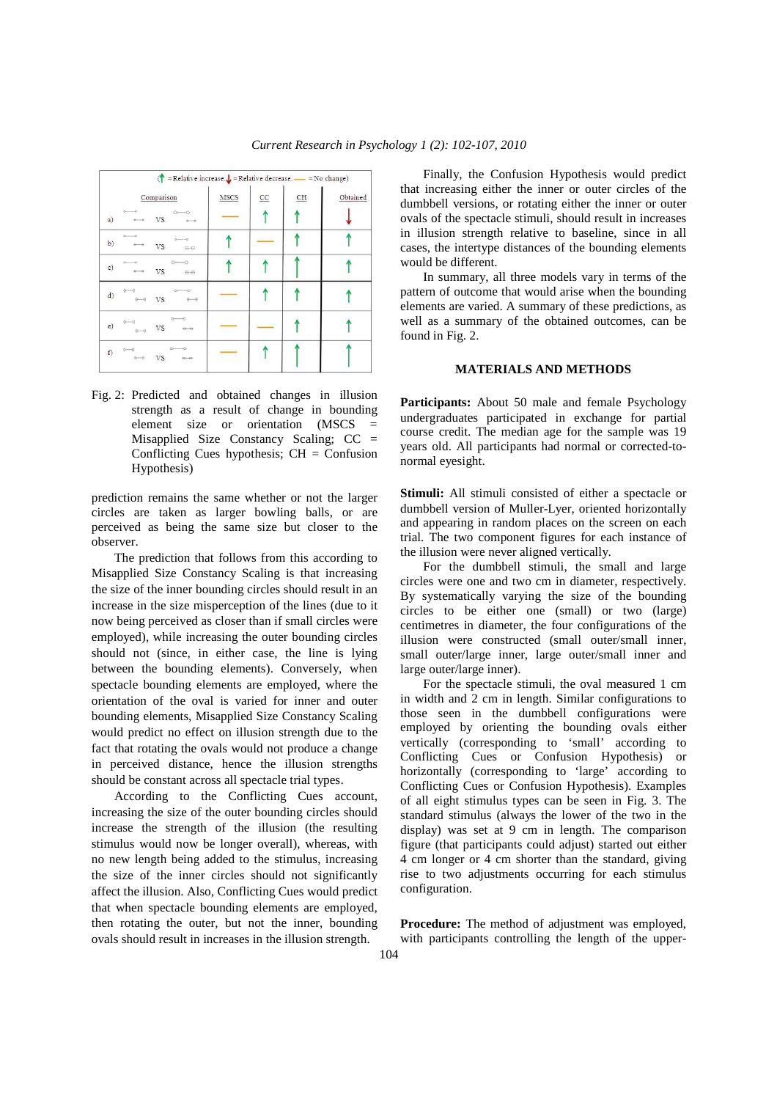| ( $\uparrow$ = Relative increase. $\downarrow$ = Relative decrease. $\uparrow$ = No change) |                            |                                   |      |                 |                           |          |  |
|---------------------------------------------------------------------------------------------|----------------------------|-----------------------------------|------|-----------------|---------------------------|----------|--|
|                                                                                             |                            | Comparison                        | MSCS | $\overline{cc}$ | $\underline{\texttt{CH}}$ | Obtained |  |
| a)                                                                                          |                            | $\circ$<br><b>VS</b>              |      |                 |                           |          |  |
| b)                                                                                          |                            | $0 - 0$<br><b>VS</b><br>$\Theta$  |      |                 |                           |          |  |
| c)                                                                                          | $0 - 0$                    | $O \rightarrow O$<br>VS.<br>$  -$ |      |                 |                           |          |  |
|                                                                                             | d) $0$ $0$ $-0$<br>$0 - 0$ | $\circ$<br>VS.<br>$0 - 0$         |      |                 |                           |          |  |
|                                                                                             | $e)$ 0-0<br>$0 - 0$        | $0 - 0$<br><b>VS</b><br>$-0$      |      |                 |                           |          |  |
| f)                                                                                          | $0 - 0$<br>$0 - 0$         | VS.<br>$0 - 0$                    | -    |                 |                           |          |  |

Fig. 2: Predicted and obtained changes in illusion strength as a result of change in bounding element size or orientation (MSCS Misapplied Size Constancy Scaling; CC = Conflicting Cues hypothesis;  $CH =$  Confusion Hypothesis)

prediction remains the same whether or not the larger circles are taken as larger bowling balls, or are perceived as being the same size but closer to the observer.

 The prediction that follows from this according to Misapplied Size Constancy Scaling is that increasing the size of the inner bounding circles should result in an increase in the size misperception of the lines (due to it now being perceived as closer than if small circles were employed), while increasing the outer bounding circles should not (since, in either case, the line is lying between the bounding elements). Conversely, when spectacle bounding elements are employed, where the orientation of the oval is varied for inner and outer bounding elements, Misapplied Size Constancy Scaling would predict no effect on illusion strength due to the fact that rotating the ovals would not produce a change in perceived distance, hence the illusion strengths should be constant across all spectacle trial types.

 According to the Conflicting Cues account, increasing the size of the outer bounding circles should increase the strength of the illusion (the resulting stimulus would now be longer overall), whereas, with no new length being added to the stimulus, increasing the size of the inner circles should not significantly affect the illusion. Also, Conflicting Cues would predict that when spectacle bounding elements are employed, then rotating the outer, but not the inner, bounding ovals should result in increases in the illusion strength.

 Finally, the Confusion Hypothesis would predict that increasing either the inner or outer circles of the dumbbell versions, or rotating either the inner or outer ovals of the spectacle stimuli, should result in increases in illusion strength relative to baseline, since in all cases, the intertype distances of the bounding elements would be different.

 In summary, all three models vary in terms of the pattern of outcome that would arise when the bounding elements are varied. A summary of these predictions, as well as a summary of the obtained outcomes, can be found in Fig. 2.

#### **MATERIALS AND METHODS**

Participants: About 50 male and female Psychology undergraduates participated in exchange for partial course credit. The median age for the sample was 19 years old. All participants had normal or corrected-tonormal eyesight.

**Stimuli:** All stimuli consisted of either a spectacle or dumbbell version of Muller-Lyer, oriented horizontally and appearing in random places on the screen on each trial. The two component figures for each instance of the illusion were never aligned vertically.

 For the dumbbell stimuli, the small and large circles were one and two cm in diameter, respectively. By systematically varying the size of the bounding circles to be either one (small) or two (large) centimetres in diameter, the four configurations of the illusion were constructed (small outer/small inner, small outer/large inner, large outer/small inner and large outer/large inner).

 For the spectacle stimuli, the oval measured 1 cm in width and 2 cm in length. Similar configurations to those seen in the dumbbell configurations were employed by orienting the bounding ovals either vertically (corresponding to 'small' according to Conflicting Cues or Confusion Hypothesis) or horizontally (corresponding to 'large' according to Conflicting Cues or Confusion Hypothesis). Examples of all eight stimulus types can be seen in Fig. 3. The standard stimulus (always the lower of the two in the display) was set at 9 cm in length. The comparison figure (that participants could adjust) started out either 4 cm longer or 4 cm shorter than the standard, giving rise to two adjustments occurring for each stimulus configuration.

**Procedure:** The method of adjustment was employed, with participants controlling the length of the upper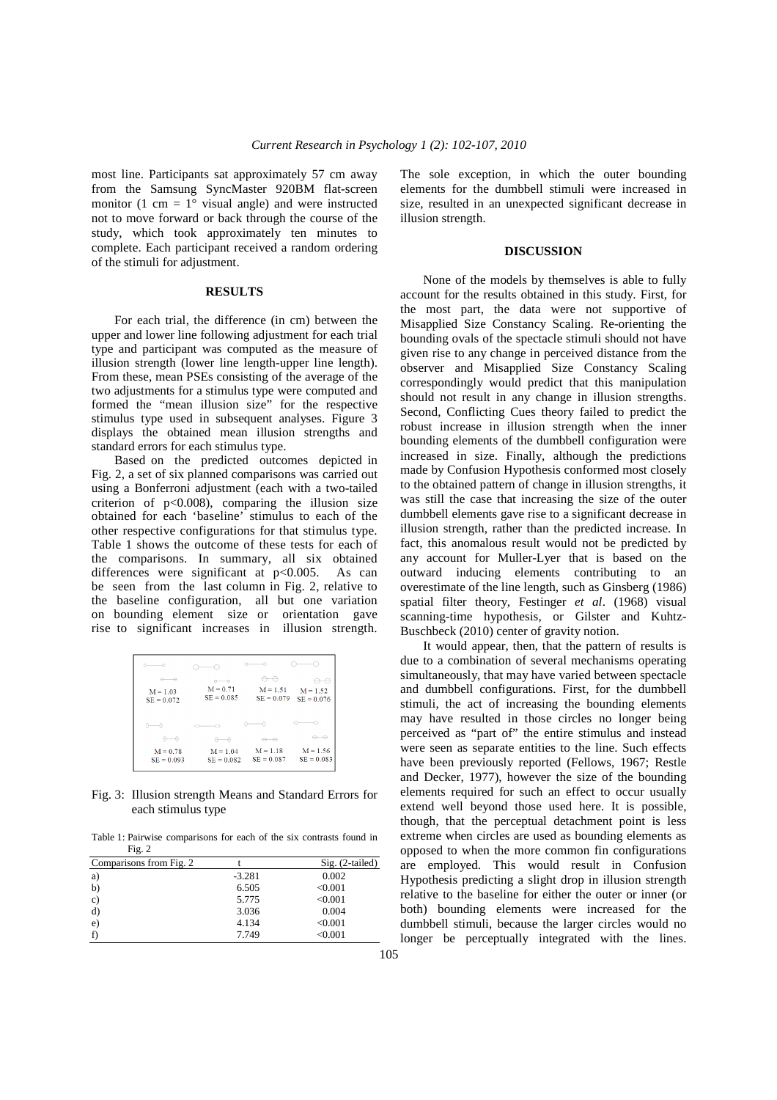most line. Participants sat approximately 57 cm away from the Samsung SyncMaster 920BM flat-screen monitor (1 cm =  $1^{\circ}$  visual angle) and were instructed not to move forward or back through the course of the study, which took approximately ten minutes to complete. Each participant received a random ordering of the stimuli for adjustment.

## **RESULTS**

 For each trial, the difference (in cm) between the upper and lower line following adjustment for each trial type and participant was computed as the measure of illusion strength (lower line length-upper line length). From these, mean PSEs consisting of the average of the two adjustments for a stimulus type were computed and formed the "mean illusion size" for the respective stimulus type used in subsequent analyses. Figure 3 displays the obtained mean illusion strengths and standard errors for each stimulus type.

 Based on the predicted outcomes depicted in Fig. 2, a set of six planned comparisons was carried out using a Bonferroni adjustment (each with a two-tailed criterion of  $p<0.008$ ), comparing the illusion size obtained for each 'baseline' stimulus to each of the other respective configurations for that stimulus type. Table 1 shows the outcome of these tests for each of the comparisons. In summary, all six obtained differences were significant at  $p<0.005$ . As can be seen from the last column in Fig. 2, relative to the baseline configuration, all but one variation on bounding element size or orientation gave rise to significant increases in illusion strength.

| -0<br>⇔                    | $\overline{\phantom{a}}$   |                            |                            |
|----------------------------|----------------------------|----------------------------|----------------------------|
| $M = 1.03$<br>$SE = 0.072$ | $M = 0.71$<br>$SE = 0.085$ | $M = 1.51$<br>$SE = 0.079$ | $M = 1.52$<br>$SE = 0.076$ |
|                            |                            |                            |                            |
| A.                         | $\rightarrow$              | -0                         |                            |
| $M = 0.78$<br>$SE = 0.093$ | $M = 1.04$<br>$SE = 0.082$ | $M = 1.18$<br>$SE = 0.087$ | $M = 1.56$<br>$SE = 0.083$ |

Fig. 3: Illusion strength Means and Standard Errors for each stimulus type

Table 1: Pairwise comparisons for each of the six contrasts found in Fig. 2

| Comparisons from Fig. 2 |          | $Sig. (2-tailed)$ |
|-------------------------|----------|-------------------|
| a)                      | $-3.281$ | 0.002             |
| b)                      | 6.505    | < 0.001           |
| $\mathbf{c}$            | 5.775    | < 0.001           |
| d)                      | 3.036    | 0.004             |
| e)                      | 4.134    | < 0.001           |
|                         | 7.749    | < 0.001           |

The sole exception, in which the outer bounding elements for the dumbbell stimuli were increased in size, resulted in an unexpected significant decrease in illusion strength.

### **DISCUSSION**

 None of the models by themselves is able to fully account for the results obtained in this study. First, for the most part, the data were not supportive of Misapplied Size Constancy Scaling. Re-orienting the bounding ovals of the spectacle stimuli should not have given rise to any change in perceived distance from the observer and Misapplied Size Constancy Scaling correspondingly would predict that this manipulation should not result in any change in illusion strengths. Second, Conflicting Cues theory failed to predict the robust increase in illusion strength when the inner bounding elements of the dumbbell configuration were increased in size. Finally, although the predictions made by Confusion Hypothesis conformed most closely to the obtained pattern of change in illusion strengths, it was still the case that increasing the size of the outer dumbbell elements gave rise to a significant decrease in illusion strength, rather than the predicted increase. In fact, this anomalous result would not be predicted by any account for Muller-Lyer that is based on the outward inducing elements contributing to an overestimate of the line length, such as Ginsberg (1986) spatial filter theory, Festinger *et al*. (1968) visual scanning-time hypothesis, or Gilster and Kuhtz-Buschbeck (2010) center of gravity notion.

 It would appear, then, that the pattern of results is due to a combination of several mechanisms operating simultaneously, that may have varied between spectacle and dumbbell configurations. First, for the dumbbell stimuli, the act of increasing the bounding elements may have resulted in those circles no longer being perceived as "part of" the entire stimulus and instead were seen as separate entities to the line. Such effects have been previously reported (Fellows, 1967; Restle and Decker, 1977), however the size of the bounding elements required for such an effect to occur usually extend well beyond those used here. It is possible, though, that the perceptual detachment point is less extreme when circles are used as bounding elements as opposed to when the more common fin configurations are employed. This would result in Confusion Hypothesis predicting a slight drop in illusion strength relative to the baseline for either the outer or inner (or both) bounding elements were increased for the dumbbell stimuli, because the larger circles would no longer be perceptually integrated with the lines.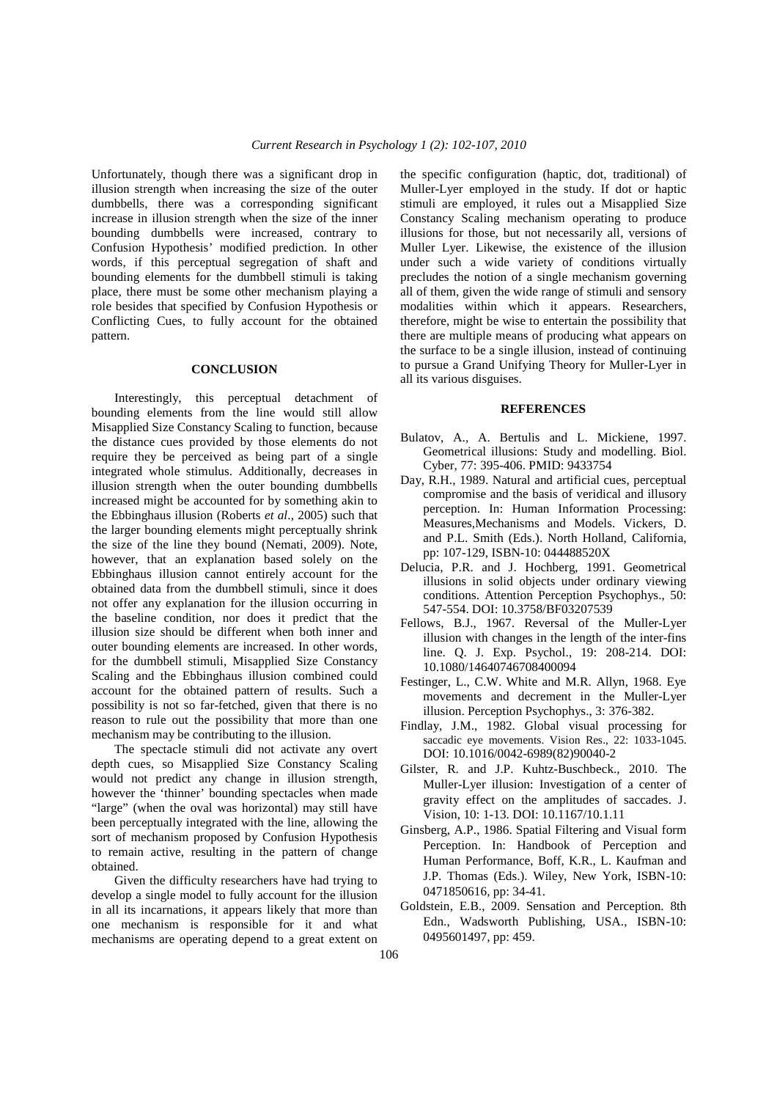Unfortunately, though there was a significant drop in illusion strength when increasing the size of the outer dumbbells, there was a corresponding significant increase in illusion strength when the size of the inner bounding dumbbells were increased, contrary to Confusion Hypothesis' modified prediction. In other words, if this perceptual segregation of shaft and bounding elements for the dumbbell stimuli is taking place, there must be some other mechanism playing a role besides that specified by Confusion Hypothesis or Conflicting Cues, to fully account for the obtained pattern.

#### **CONCLUSION**

 Interestingly, this perceptual detachment of bounding elements from the line would still allow Misapplied Size Constancy Scaling to function, because the distance cues provided by those elements do not require they be perceived as being part of a single integrated whole stimulus. Additionally, decreases in illusion strength when the outer bounding dumbbells increased might be accounted for by something akin to the Ebbinghaus illusion (Roberts *et al*., 2005) such that the larger bounding elements might perceptually shrink the size of the line they bound (Nemati, 2009). Note, however, that an explanation based solely on the Ebbinghaus illusion cannot entirely account for the obtained data from the dumbbell stimuli, since it does not offer any explanation for the illusion occurring in the baseline condition, nor does it predict that the illusion size should be different when both inner and outer bounding elements are increased. In other words, for the dumbbell stimuli, Misapplied Size Constancy Scaling and the Ebbinghaus illusion combined could account for the obtained pattern of results. Such a possibility is not so far-fetched, given that there is no reason to rule out the possibility that more than one mechanism may be contributing to the illusion.

 The spectacle stimuli did not activate any overt depth cues, so Misapplied Size Constancy Scaling would not predict any change in illusion strength, however the 'thinner' bounding spectacles when made "large" (when the oval was horizontal) may still have been perceptually integrated with the line, allowing the sort of mechanism proposed by Confusion Hypothesis to remain active, resulting in the pattern of change obtained.

 Given the difficulty researchers have had trying to develop a single model to fully account for the illusion in all its incarnations, it appears likely that more than one mechanism is responsible for it and what mechanisms are operating depend to a great extent on

the specific configuration (haptic, dot, traditional) of Muller-Lyer employed in the study. If dot or haptic stimuli are employed, it rules out a Misapplied Size Constancy Scaling mechanism operating to produce illusions for those, but not necessarily all, versions of Muller Lyer. Likewise, the existence of the illusion under such a wide variety of conditions virtually precludes the notion of a single mechanism governing all of them, given the wide range of stimuli and sensory modalities within which it appears. Researchers, therefore, might be wise to entertain the possibility that there are multiple means of producing what appears on the surface to be a single illusion, instead of continuing to pursue a Grand Unifying Theory for Muller-Lyer in all its various disguises.

### **REFERENCES**

- Bulatov, A., A. Bertulis and L. Mickiene, 1997. Geometrical illusions: Study and modelling. Biol. Cyber, 77: 395-406. PMID: 9433754
- Day, R.H., 1989. Natural and artificial cues, perceptual compromise and the basis of veridical and illusory perception. In: Human Information Processing: Measures,Mechanisms and Models. Vickers, D. and P.L. Smith (Eds.). North Holland, California, pp: 107-129, ISBN-10: 044488520X
- Delucia, P.R. and J. Hochberg, 1991. Geometrical illusions in solid objects under ordinary viewing conditions. Attention Perception Psychophys., 50: 547-554. DOI: 10.3758/BF03207539
- Fellows, B.J., 1967. Reversal of the Muller-Lyer illusion with changes in the length of the inter-fins line. Q. J. Exp. Psychol., 19: 208-214. DOI: 10.1080/14640746708400094
- Festinger, L., C.W. White and M.R. Allyn, 1968. Eye movements and decrement in the Muller-Lyer illusion. Perception Psychophys., 3: 376-382.
- Findlay, J.M., 1982. Global visual processing for saccadic eye movements. Vision Res., 22: 1033-1045. DOI: 10.1016/0042-6989(82)90040-2
- Gilster, R. and J.P. Kuhtz-Buschbeck., 2010. The Muller-Lyer illusion: Investigation of a center of gravity effect on the amplitudes of saccades. J. Vision, 10: 1-13. DOI: 10.1167/10.1.11
- Ginsberg, A.P., 1986. Spatial Filtering and Visual form Perception. In: Handbook of Perception and Human Performance, Boff, K.R., L. Kaufman and J.P. Thomas (Eds.). Wiley, New York, ISBN-10: 0471850616, pp: 34-41.
- Goldstein, E.B., 2009. Sensation and Perception. 8th Edn., Wadsworth Publishing, USA., ISBN-10: 0495601497, pp: 459.